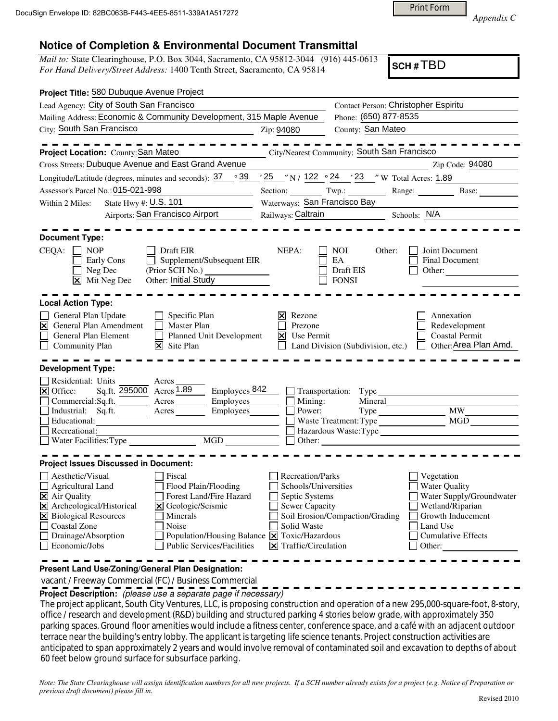Print Form

*Appendix C* 

## **Notice of Completion & Environmental Document Transmittal**

*Mail to:* State Clearinghouse, P.O. Box 3044, Sacramento, CA 95812-3044 (916) 445-0613 *For Hand Delivery/Street Address:* 1400 Tenth Street, Sacramento, CA 95814

**SCH #** TBD

| Project Title: 580 Dubuque Avenue Project                                                                                                                                                                                                                                                                                                                                                |                                                                                                                                               |                                                                                                                                                                                                                              |                                                                                                                                                            |
|------------------------------------------------------------------------------------------------------------------------------------------------------------------------------------------------------------------------------------------------------------------------------------------------------------------------------------------------------------------------------------------|-----------------------------------------------------------------------------------------------------------------------------------------------|------------------------------------------------------------------------------------------------------------------------------------------------------------------------------------------------------------------------------|------------------------------------------------------------------------------------------------------------------------------------------------------------|
| Lead Agency: City of South San Francisco                                                                                                                                                                                                                                                                                                                                                 |                                                                                                                                               | Contact Person: Christopher Espiritu                                                                                                                                                                                         |                                                                                                                                                            |
| Mailing Address: Economic & Community Development, 315 Maple Avenue                                                                                                                                                                                                                                                                                                                      |                                                                                                                                               | Phone: (650) 877-8535                                                                                                                                                                                                        |                                                                                                                                                            |
| City: South San Francisco<br><u> 1990 - Johann Barbara, martin a</u>                                                                                                                                                                                                                                                                                                                     | Zip: 94080                                                                                                                                    | County: San Mateo                                                                                                                                                                                                            |                                                                                                                                                            |
| Project Location: County: San Mateo                                                                                                                                                                                                                                                                                                                                                      |                                                                                                                                               | City/Nearest Community: South San Francisco                                                                                                                                                                                  |                                                                                                                                                            |
| Cross Streets: Dubuque Avenue and East Grand Avenue                                                                                                                                                                                                                                                                                                                                      |                                                                                                                                               |                                                                                                                                                                                                                              | Zip Code: 94080                                                                                                                                            |
| Longitude/Latitude (degrees, minutes and seconds): $37 \degree$ $39 \degree$ $25 \degree$ N / $122 \degree$ 24 $\degree$ 23 $\degree$ W Total Acres: 1.89                                                                                                                                                                                                                                |                                                                                                                                               |                                                                                                                                                                                                                              |                                                                                                                                                            |
| Assessor's Parcel No.: 015-021-998                                                                                                                                                                                                                                                                                                                                                       |                                                                                                                                               |                                                                                                                                                                                                                              | Base:                                                                                                                                                      |
| State Hwy #: U.S. 101<br>Within 2 Miles:                                                                                                                                                                                                                                                                                                                                                 | Waterways: San Francisco Bay                                                                                                                  |                                                                                                                                                                                                                              |                                                                                                                                                            |
| Airports: San Francisco Airport                                                                                                                                                                                                                                                                                                                                                          | Railways: Caltrain                                                                                                                            | Schools: N/A<br>and the state of the state of                                                                                                                                                                                |                                                                                                                                                            |
| <b>Document Type:</b><br>CEQA:<br>$\Box$ NOP<br>Draft EIR<br>Supplement/Subsequent EIR<br>Early Cons<br>$\perp$<br>Neg Dec<br>Other: Initial Study<br>$\overline{\mathsf{x}}$ Mit Neg Dec                                                                                                                                                                                                | NEPA:                                                                                                                                         | NOI.<br>Other:<br>EA<br>Draft EIS<br><b>FONSI</b>                                                                                                                                                                            | Joint Document<br>Final Document<br>Other:                                                                                                                 |
| <b>Local Action Type:</b><br>Specific Plan<br>General Plan Update<br>$\mathsf{L}$<br>$\triangleright$ General Plan Amendment<br>П<br><b>Master Plan</b><br>General Plan Element<br>Planned Unit Development<br>$\perp$<br>$ \mathbf{\nabla} $ Site Plan<br>Community Plan<br><b>Development Type:</b>                                                                                    | Rezone<br>IхI<br>Prezone<br>Use Permit<br>Ι×Ι                                                                                                 | Land Division (Subdivision, etc.)                                                                                                                                                                                            | Annexation<br>Redevelopment<br>Coastal Permit<br>Other:Area Plan Amd.                                                                                      |
| Residential: Units<br>Acres<br>Sq.ft. 295000 Acres 1.89<br>Emploves 842<br>X Office:<br>$\mathbb{R}^2$<br>Г<br>Commercial:Sq.ft. <u>Acres</u><br>Employees________<br>Industrial: Sq.ft. <u>Acres</u> Acres<br>Employees<br>Г<br>Educational:<br>MGD NG                                                                                                                                  | Mining:<br>Power:<br>$\Box$ Other:                                                                                                            | $\Box$ Transportation: Type<br>Mineral<br>Type Type<br>Waste Treatment: Type<br>Hazardous Waste:Type<br><u> 1980 - Jan Barbara Barat, prima a prima prima prima prima prima prima prima prima prima prima prima prima pr</u> | MW<br>MGD                                                                                                                                                  |
| <b>Project Issues Discussed in Document:</b>                                                                                                                                                                                                                                                                                                                                             |                                                                                                                                               |                                                                                                                                                                                                                              |                                                                                                                                                            |
| Aesthetic/Visual<br>Fiscal<br>$\Box$ Agricultural Land<br>Flood Plain/Flooding<br>X Air Quality<br>Forest Land/Fire Hazard<br>X Archeological/Historical<br>X Geologic/Seismic<br>X Biological Resources<br>Minerals<br>Coastal Zone<br>Noise<br>$\Box$ Drainage/Absorption<br>Population/Housing Balance X Toxic/Hazardous<br>$\Box$ Economic/Jobs<br><b>Public Services/Facilities</b> | <b>Recreation/Parks</b><br>Schools/Universities<br>Septic Systems<br>Sewer Capacity<br>Solid Waste<br>$ \mathbf{\nabla} $ Traffic/Circulation | Soil Erosion/Compaction/Grading                                                                                                                                                                                              | Vegetation<br><b>Water Quality</b><br>Water Supply/Groundwater<br>Wetland/Riparian<br>Growth Inducement<br>Land Use<br><b>Cumulative Effects</b><br>Other: |

**Present Land Use/Zoning/General Plan Designation:**

vacant / Freeway Commercial (FC) / Business Commercial

**Project Description:** (please use a separate page if necessary)

 The project applicant, South City Ventures, LLC, is proposing construction and operation of a new 295,000-square-foot, 8-story, office / research and development (R&D) building and structured parking 4 stories below grade, with approximately 350 parking spaces. Ground floor amenities would include a fitness center, conference space, and a café with an adjacent outdoor terrace near the building's entry lobby. The applicant is targeting life science tenants. Project construction activities are anticipated to span approximately 2 years and would involve removal of contaminated soil and excavation to depths of about 60 feet below ground surface for subsurface parking.

*Note: The State Clearinghouse will assign identification numbers for all new projects. If a SCH number already exists for a project (e.g. Notice of Preparation or previous draft document) please fill in.*